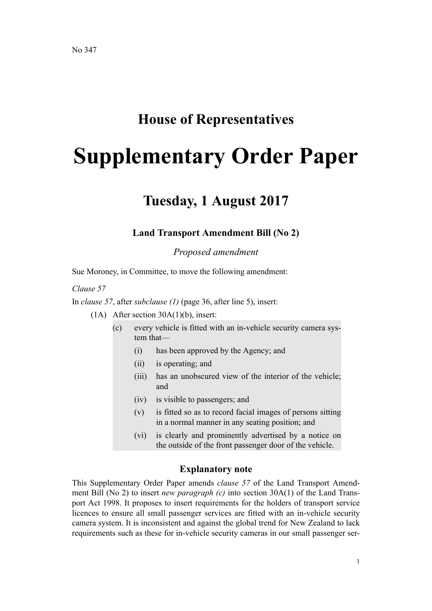## **House of Representatives**

# **Supplementary Order Paper**

## **Tuesday, 1 August 2017**

#### **Land Transport Amendment Bill (No 2)**

*Proposed amendment*

Sue Moroney, in Committee, to move the following amendment:

*Clause 57*

In *clause 57*, after *subclause (1)* (page 36, after line 5), insert:

(1A) After section 30A(1)(b), insert:

- (c) every vehicle is fitted with an in-vehicle security camera system that—
	- (i) has been approved by the Agency; and
	- (ii) is operating; and
	- (iii) has an unobscured view of the interior of the vehicle; and
	- (iv) is visible to passengers; and
	- (v) is fitted so as to record facial images of persons sitting in a normal manner in any seating position; and
	- (vi) is clearly and prominently advertised by a notice on the outside of the front passenger door of the vehicle.

#### **Explanatory note**

This Supplementary Order Paper amends *clause 57* of the Land Transport Amendment Bill (No 2) to insert *new paragraph (c)* into section 30A(1) of the Land Transport Act 1998. It proposes to insert requirements for the holders of transport service licences to ensure all small passenger services are fitted with an in-vehicle security camera system. It is inconsistent and against the global trend for New Zealand to lack requirements such as these for in-vehicle security cameras in our small passenger ser-